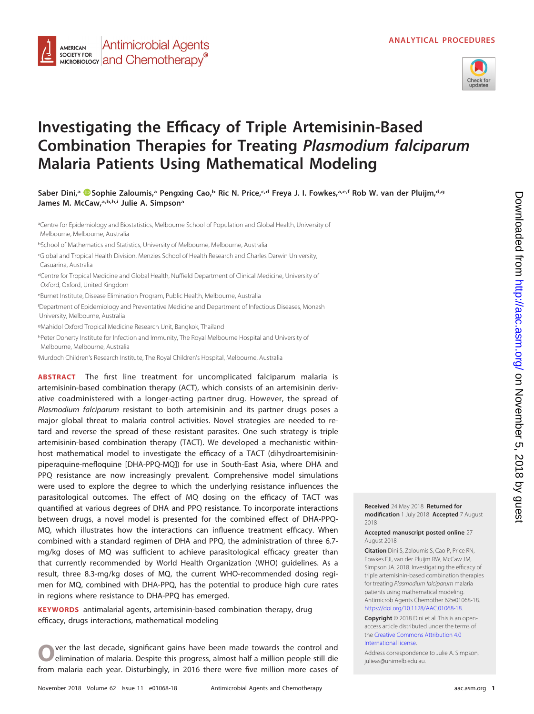

# **Investigating the Efficacy of Triple Artemisinin-Based Combination Therapies for Treating Plasmodium falciparum Malaria Patients Using Mathematical Modeling**

**Saber Dini,a [Sophie Zaloumis,](https://orcid.org/0000-0002-8253-8896)a Pengxing Cao,b Ric N. Price,c,d Freya J. I. Fowkes,a,e,f Rob W. van der Pluijm,d,g James M. McCaw,a,b,h,i Julie A. Simpsona**

aCentre for Epidemiology and Biostatistics, Melbourne School of Population and Global Health, University of Melbourne, Melbourne, Australia <sup>b</sup>School of Mathematics and Statistics, University of Melbourne, Melbourne, Australia c Global and Tropical Health Division, Menzies School of Health Research and Charles Darwin University, Casuarina, Australia <sup>d</sup>Centre for Tropical Medicine and Global Health, Nuffield Department of Clinical Medicine, University of Oxford, Oxford, United Kingdom <sup>e</sup>Burnet Institute, Disease Elimination Program, Public Health, Melbourne, Australia f Department of Epidemiology and Preventative Medicine and Department of Infectious Diseases, Monash University, Melbourne, Australia <sup>g</sup>Mahidol Oxford Tropical Medicine Research Unit, Bangkok, Thailand hPeter Doherty Institute for Infection and Immunity, The Royal Melbourne Hospital and University of Melbourne, Melbourne, Australia

i Murdoch Children's Research Institute, The Royal Children's Hospital, Melbourne, Australia

**Antimicrobial Agents** 

MICROBIOLOGY **and Chemotherapy**<sup>®</sup>

**AMERICAN** SOCIETY FOR

**ABSTRACT** The first line treatment for uncomplicated falciparum malaria is artemisinin-based combination therapy (ACT), which consists of an artemisinin derivative coadministered with a longer-acting partner drug. However, the spread of Plasmodium falciparum resistant to both artemisinin and its partner drugs poses a major global threat to malaria control activities. Novel strategies are needed to retard and reverse the spread of these resistant parasites. One such strategy is triple artemisinin-based combination therapy (TACT). We developed a mechanistic withinhost mathematical model to investigate the efficacy of a TACT (dihydroartemisininpiperaquine-mefloquine [DHA-PPQ-MQ]) for use in South-East Asia, where DHA and PPQ resistance are now increasingly prevalent. Comprehensive model simulations were used to explore the degree to which the underlying resistance influences the parasitological outcomes. The effect of MQ dosing on the efficacy of TACT was quantified at various degrees of DHA and PPQ resistance. To incorporate interactions between drugs, a novel model is presented for the combined effect of DHA-PPQ-MQ, which illustrates how the interactions can influence treatment efficacy. When combined with a standard regimen of DHA and PPQ, the administration of three 6.7 mg/kg doses of MQ was sufficient to achieve parasitological efficacy greater than that currently recommended by World Health Organization (WHO) guidelines. As a result, three 8.3-mg/kg doses of MQ, the current WHO-recommended dosing regimen for MQ, combined with DHA-PPQ, has the potential to produce high cure rates in regions where resistance to DHA-PPQ has emerged.

**KEYWORDS** antimalarial agents, artemisinin-based combination therapy, drug efficacy, drugs interactions, mathematical modeling

**O**ver the last decade, significant gains have been made towards the control and elimination of malaria. Despite this progress, almost half a million people still die from malaria each year. Disturbingly, in 2016 there were five million more cases of **Received** 24 May 2018 **Returned for modification** 1 July 2018 **Accepted** 7 August 2018

**Accepted manuscript posted online** 27 August 2018

**Citation** Dini S, Zaloumis S, Cao P, Price RN, Fowkes FJI, van der Pluijm RW, McCaw JM, Simpson JA. 2018. Investigating the efficacy of triple artemisinin-based combination therapies for treating Plasmodium falciparum malaria patients using mathematical modeling. Antimicrob Agents Chemother 62:e01068-18. [https://doi.org/10.1128/AAC.01068-18.](https://doi.org/10.1128/AAC.01068-18)

**Copyright** © 2018 Dini et al. This is an openaccess article distributed under the terms of the [Creative Commons Attribution 4.0](https://creativecommons.org/licenses/by/4.0/) [International](https://creativecommons.org/licenses/by/4.0/) license.

Address correspondence to Julie A. Simpson, [julieas@unimelb.edu.au.](mailto:julieas@unimelb.edu.au)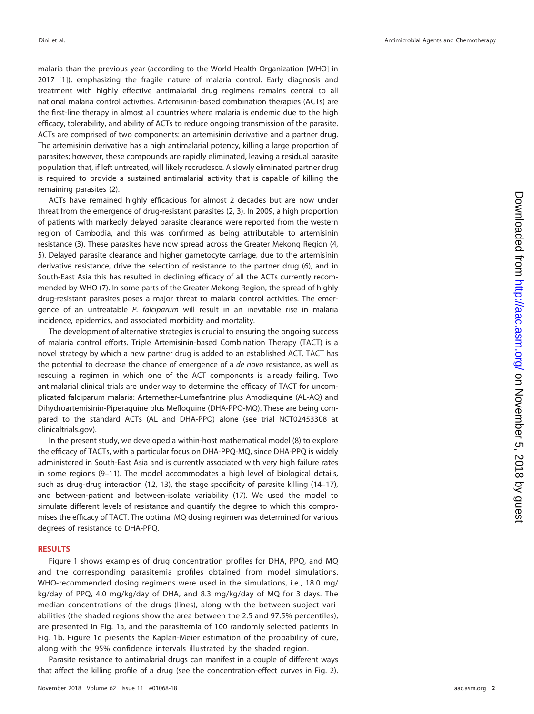malaria than the previous year (according to the World Health Organization [WHO] in 2017 [\[1\]](#page-9-0)), emphasizing the fragile nature of malaria control. Early diagnosis and treatment with highly effective antimalarial drug regimens remains central to all national malaria control activities. Artemisinin-based combination therapies (ACTs) are the first-line therapy in almost all countries where malaria is endemic due to the high efficacy, tolerability, and ability of ACTs to reduce ongoing transmission of the parasite. ACTs are comprised of two components: an artemisinin derivative and a partner drug. The artemisinin derivative has a high antimalarial potency, killing a large proportion of parasites; however, these compounds are rapidly eliminated, leaving a residual parasite population that, if left untreated, will likely recrudesce. A slowly eliminated partner drug is required to provide a sustained antimalarial activity that is capable of killing the remaining parasites [\(2\)](#page-9-1).

ACTs have remained highly efficacious for almost 2 decades but are now under threat from the emergence of drug-resistant parasites [\(2,](#page-9-1) [3\)](#page-9-2). In 2009, a high proportion of patients with markedly delayed parasite clearance were reported from the western region of Cambodia, and this was confirmed as being attributable to artemisinin resistance [\(3\)](#page-9-2). These parasites have now spread across the Greater Mekong Region [\(4,](#page-9-3) [5\)](#page-9-4). Delayed parasite clearance and higher gametocyte carriage, due to the artemisinin derivative resistance, drive the selection of resistance to the partner drug [\(6\)](#page-9-5), and in South-East Asia this has resulted in declining efficacy of all the ACTs currently recommended by WHO [\(7\)](#page-9-6). In some parts of the Greater Mekong Region, the spread of highly drug-resistant parasites poses a major threat to malaria control activities. The emergence of an untreatable P. falciparum will result in an inevitable rise in malaria incidence, epidemics, and associated morbidity and mortality.

The development of alternative strategies is crucial to ensuring the ongoing success of malaria control efforts. Triple Artemisinin-based Combination Therapy (TACT) is a novel strategy by which a new partner drug is added to an established ACT. TACT has the potential to decrease the chance of emergence of a de novo resistance, as well as rescuing a regimen in which one of the ACT components is already failing. Two antimalarial clinical trials are under way to determine the efficacy of TACT for uncomplicated falciparum malaria: Artemether-Lumefantrine plus Amodiaquine (AL-AQ) and Dihydroartemisinin-Piperaquine plus Mefloquine (DHA-PPQ-MQ). These are being compared to the standard ACTs (AL and DHA-PPQ) alone (see trial NCT02453308 at clinicaltrials.gov).

In the present study, we developed a within-host mathematical model [\(8\)](#page-9-7) to explore the efficacy of TACTs, with a particular focus on DHA-PPQ-MQ, since DHA-PPQ is widely administered in South-East Asia and is currently associated with very high failure rates in some regions [\(9](#page-9-8)[–](#page-9-9)[11\)](#page-9-10). The model accommodates a high level of biological details, such as drug-drug interaction [\(12,](#page-9-11) [13\)](#page-9-12), the stage specificity of parasite killing [\(14](#page-9-13)[–](#page-9-14)[17\)](#page-10-0), and between-patient and between-isolate variability [\(17\)](#page-10-0). We used the model to simulate different levels of resistance and quantify the degree to which this compromises the efficacy of TACT. The optimal MQ dosing regimen was determined for various degrees of resistance to DHA-PPQ.

# **RESULTS**

[Figure](#page-2-0) 1 shows examples of drug concentration profiles for DHA, PPQ, and MQ and the corresponding parasitemia profiles obtained from model simulations. WHO-recommended dosing regimens were used in the simulations, i.e., 18.0 mg/ kg/day of PPQ, 4.0 mg/kg/day of DHA, and 8.3 mg/kg/day of MQ for 3 days. The median concentrations of the drugs (lines), along with the between-subject variabilities (the shaded regions show the area between the 2.5 and 97.5% percentiles), are presented in [Fig. 1a,](#page-2-0) and the parasitemia of 100 randomly selected patients in [Fig. 1b.](#page-2-0) [Figure 1c](#page-2-0) presents the Kaplan-Meier estimation of the probability of cure, along with the 95% confidence intervals illustrated by the shaded region.

Parasite resistance to antimalarial drugs can manifest in a couple of different ways that affect the killing profile of a drug (see the concentration-effect curves in [Fig. 2\)](#page-2-1).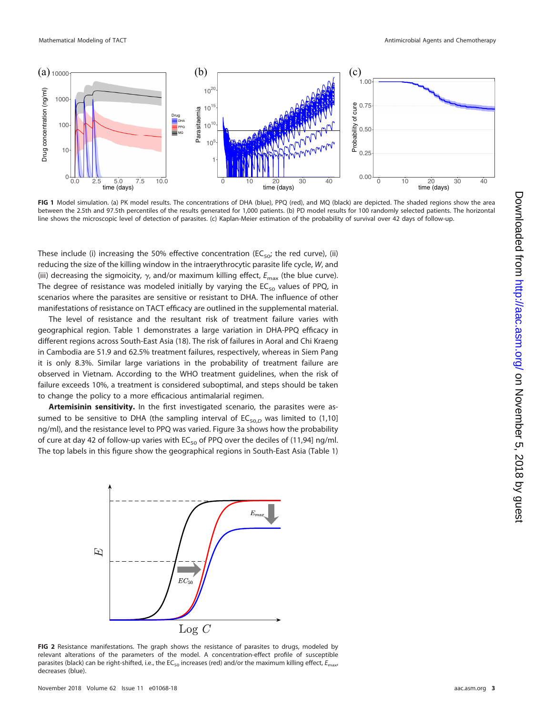

<span id="page-2-0"></span>**FIG 1** Model simulation. (a) PK model results. The concentrations of DHA (blue), PPQ (red), and MQ (black) are depicted. The shaded regions show the area between the 2.5th and 97.5th percentiles of the results generated for 1,000 patients. (b) PD model results for 100 randomly selected patients. The horizontal line shows the microscopic level of detection of parasites. (c) Kaplan-Meier estimation of the probability of survival over 42 days of follow-up.

These include (i) increasing the 50% effective concentration (EC<sub>50</sub>; the red curve), (ii) reducing the size of the killing window in the intraerythrocytic parasite life cycle, W, and (iii) decreasing the sigmoicity,  $\gamma$ , and/or maximum killing effect,  $E_{\rm max}$  (the blue curve). The degree of resistance was modeled initially by varying the  $EC_{50}$  values of PPQ, in scenarios where the parasites are sensitive or resistant to DHA. The influence of other manifestations of resistance on TACT efficacy are outlined in the supplemental material.

The level of resistance and the resultant risk of treatment failure varies with geographical region. [Table 1](#page-3-0) demonstrates a large variation in DHA-PPQ efficacy in different regions across South-East Asia [\(18\)](#page-10-1). The risk of failures in Aoral and Chi Kraeng in Cambodia are 51.9 and 62.5% treatment failures, respectively, whereas in Siem Pang it is only 8.3%. Similar large variations in the probability of treatment failure are observed in Vietnam. According to the WHO treatment guidelines, when the risk of failure exceeds 10%, a treatment is considered suboptimal, and steps should be taken to change the policy to a more efficacious antimalarial regimen.

**Artemisinin sensitivity.** In the first investigated scenario, the parasites were assumed to be sensitive to DHA (the sampling interval of  $EC_{50,D}$  was limited to (1,10] ng/ml), and the resistance level to PPQ was varied. [Figure 3a](#page-3-1) shows how the probability of cure at day 42 of follow-up varies with  $EC_{50}$  of PPQ over the deciles of (11,94] ng/ml. The top labels in this figure show the geographical regions in South-East Asia [\(Table 1\)](#page-3-0)



<span id="page-2-1"></span>**FIG 2** Resistance manifestations. The graph shows the resistance of parasites to drugs, modeled by relevant alterations of the parameters of the model. A concentration-effect profile of susceptible parasites (black) can be right-shifted, i.e., the EC<sub>50</sub> increases (red) and/or the maximum killing effect,  $E_{\text{max}}$ decreases (blue).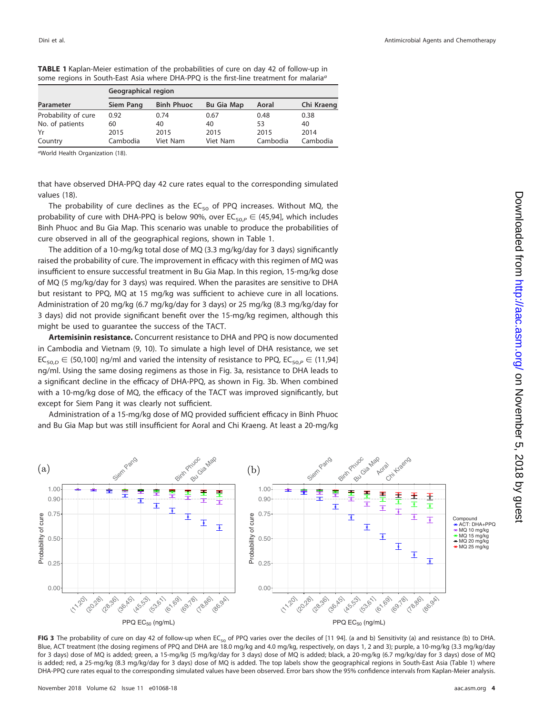|                     | Geographical region |                   |                   |          |            |  |
|---------------------|---------------------|-------------------|-------------------|----------|------------|--|
| Parameter           | Siem Pang           | <b>Binh Phuoc</b> | <b>Bu Gia Map</b> | Aoral    | Chi Kraeng |  |
| Probability of cure | 0.92                | 0.74              | 0.67              | 0.48     | 0.38       |  |
| No. of patients     | 60                  | 40                | 40                | 53       | 40         |  |
| Yr                  | 2015                | 2015              | 2015              | 2015     | 2014       |  |
| Country             | Cambodia            | Viet Nam          | Viet Nam          | Cambodia | Cambodia   |  |

<span id="page-3-0"></span>**TABLE 1** Kaplan-Meier estimation of the probabilities of cure on day 42 of follow-up in some regions in South-East Asia where DHA-PPQ is the first-line treatment for malaria<sup>a</sup>

aWorld Health Organization [\(18\)](#page-10-1).

that have observed DHA-PPQ day 42 cure rates equal to the corresponding simulated values [\(18\)](#page-10-1).

The probability of cure declines as the  $EC_{50}$  of PPQ increases. Without MQ, the probability of cure with DHA-PPQ is below 90%, over  $\mathsf{EC}_{50,P}\in$  (45,94], which includes Binh Phuoc and Bu Gia Map. This scenario was unable to produce the probabilities of cure observed in all of the geographical regions, shown in [Table 1.](#page-3-0)

The addition of a 10-mg/kg total dose of MQ (3.3 mg/kg/day for 3 days) significantly raised the probability of cure. The improvement in efficacy with this regimen of MQ was insufficient to ensure successful treatment in Bu Gia Map. In this region, 15-mg/kg dose of MQ (5 mg/kg/day for 3 days) was required. When the parasites are sensitive to DHA but resistant to PPQ, MQ at 15 mg/kg was sufficient to achieve cure in all locations. Administration of 20 mg/kg (6.7 mg/kg/day for 3 days) or 25 mg/kg (8.3 mg/kg/day for 3 days) did not provide significant benefit over the 15-mg/kg regimen, although this might be used to guarantee the success of the TACT.

**Artemisinin resistance.** Concurrent resistance to DHA and PPQ is now documented in Cambodia and Vietnam [\(9,](#page-9-8) [10\)](#page-9-9). To simulate a high level of DHA resistance, we set  $\mathsf{EC}_{50,D} \in$  (50,100] ng/ml and varied the intensity of resistance to PPQ,  $\mathsf{EC}_{50,P} \in$  (11,94] ng/ml. Using the same dosing regimens as those in [Fig. 3a,](#page-3-1) resistance to DHA leads to a significant decline in the efficacy of DHA-PPQ, as shown in [Fig. 3b.](#page-3-1) When combined with a 10-mg/kg dose of MQ, the efficacy of the TACT was improved significantly, but except for Siem Pang it was clearly not sufficient.

Administration of a 15-mg/kg dose of MQ provided sufficient efficacy in Binh Phuoc and Bu Gia Map but was still insufficient for Aoral and Chi Kraeng. At least a 20-mg/kg



<span id="page-3-1"></span>FIG 3 The probability of cure on day 42 of follow-up when EC<sub>50</sub> of PPQ varies over the deciles of [11 94]. (a and b) Sensitivity (a) and resistance (b) to DHA. Blue, ACT treatment (the dosing regimens of PPQ and DHA are 18.0 mg/kg and 4.0 mg/kg, respectively, on days 1, 2 and 3); purple, a 10-mg/kg (3.3 mg/kg/day for 3 days) dose of MQ is added; green, a 15-mg/kg (5 mg/kg/day for 3 days) dose of MQ is added; black, a 20-mg/kg (6.7 mg/kg/day for 3 days) dose of MQ is added; red, a 25-mg/kg (8.3 mg/kg/day for 3 days) dose of MQ is added. The top labels show the geographical regions in South-East Asia [\(Table 1\)](#page-3-0) where DHA-PPQ cure rates equal to the corresponding simulated values have been observed. Error bars show the 95% confidence intervals from Kaplan-Meier analysis.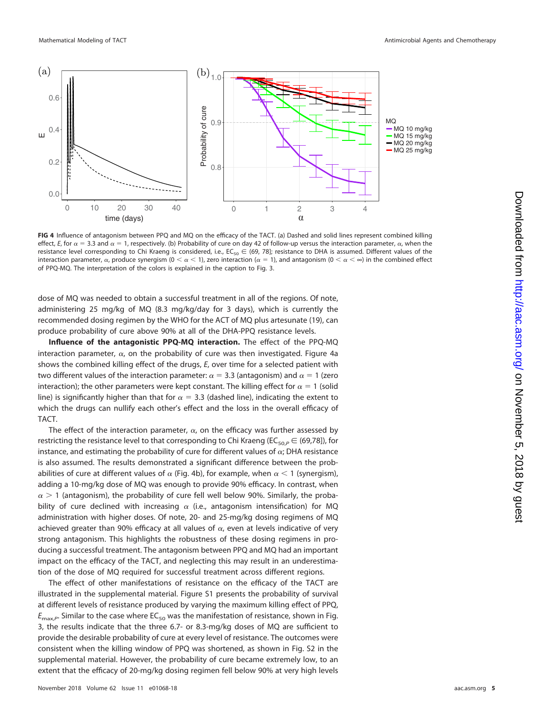

<span id="page-4-0"></span>**FIG 4** Influence of antagonism between PPQ and MQ on the efficacy of the TACT. (a) Dashed and solid lines represent combined killing effect, E, for  $\alpha = 3.3$  and  $\alpha = 1$ , respectively. (b) Probability of cure on day 42 of follow-up versus the interaction parameter,  $\alpha$ , when the resistance level corresponding to Chi Kraeng is considered, i.e.,  $EC_{50} \in$  (69, 78]; resistance to DHA is assumed. Different values of the interaction parameter,  $\alpha$ , produce synergism ( $0<\alpha<1$ ), zero interaction ( $\alpha=1$ ), and antagonism ( $0<\alpha<\infty$ ) in the combined effect of PPQ-MQ. The interpretation of the colors is explained in the caption to [Fig. 3.](#page-3-1)

dose of MQ was needed to obtain a successful treatment in all of the regions. Of note, administering 25 mg/kg of MQ (8.3 mg/kg/day for 3 days), which is currently the recommended dosing regimen by the WHO for the ACT of MQ plus artesunate [\(19\)](#page-10-2), can produce probability of cure above 90% at all of the DHA-PPQ resistance levels.

**Influence of the antagonistic PPQ-MQ interaction.** The effect of the PPQ-MQ interaction parameter,  $\alpha$ , on the probability of cure was then investigated. [Figure 4a](#page-4-0) shows the combined killing effect of the drugs,  $E$ , over time for a selected patient with two different values of the interaction parameter:  $\alpha$  = 3.3 (antagonism) and  $\alpha$  = 1 (zero interaction); the other parameters were kept constant. The killing effect for  $\alpha = 1$  (solid line) is significantly higher than that for  $\alpha =$  3.3 (dashed line), indicating the extent to which the drugs can nullify each other's effect and the loss in the overall efficacy of TACT.

The effect of the interaction parameter,  $\alpha$ , on the efficacy was further assessed by restricting the resistance level to that corresponding to Chi Kraeng (EC $_{\rm 50, P}$   $\in$  (69,78]), for instance, and estimating the probability of cure for different values of  $\alpha$ ; DHA resistance is also assumed. The results demonstrated a significant difference between the probabilities of cure at different values of  $\alpha$  [\(Fig. 4b\)](#page-4-0), for example, when  $\alpha$  < 1 (synergism), adding a 10-mg/kg dose of MQ was enough to provide 90% efficacy. In contrast, when  $\alpha > 1$  (antagonism), the probability of cure fell well below 90%. Similarly, the probability of cure declined with increasing  $\alpha$  (i.e., antagonism intensification) for MQ administration with higher doses. Of note, 20- and 25-mg/kg dosing regimens of MQ achieved greater than 90% efficacy at all values of  $\alpha$ , even at levels indicative of very strong antagonism. This highlights the robustness of these dosing regimens in producing a successful treatment. The antagonism between PPQ and MQ had an important impact on the efficacy of the TACT, and neglecting this may result in an underestimation of the dose of MQ required for successful treatment across different regions.

The effect of other manifestations of resistance on the efficacy of the TACT are illustrated in the supplemental material. Figure S1 presents the probability of survival at different levels of resistance produced by varying the maximum killing effect of PPQ,  $E_{\text{max},P}$ . Similar to the case where EC<sub>50</sub> was the manifestation of resistance, shown in [Fig.](#page-3-1) [3,](#page-3-1) the results indicate that the three 6.7- or 8.3-mg/kg doses of MQ are sufficient to provide the desirable probability of cure at every level of resistance. The outcomes were consistent when the killing window of PPQ was shortened, as shown in Fig. S2 in the supplemental material. However, the probability of cure became extremely low, to an extent that the efficacy of 20-mg/kg dosing regimen fell below 90% at very high levels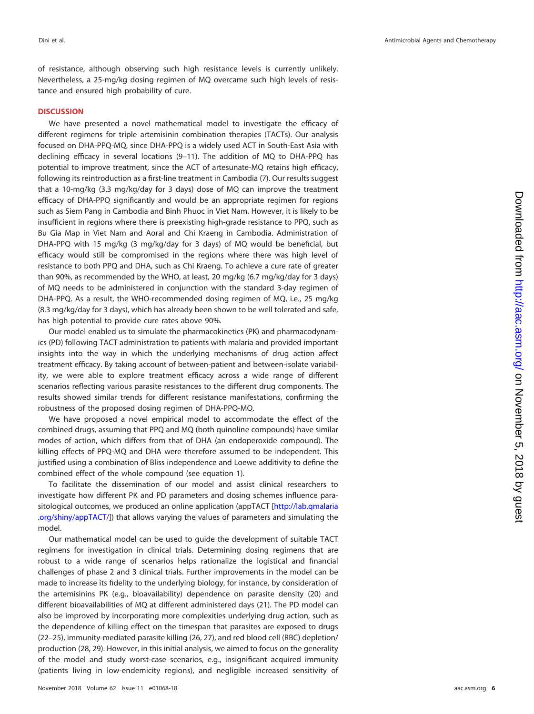of resistance, although observing such high resistance levels is currently unlikely. Nevertheless, a 25-mg/kg dosing regimen of MQ overcame such high levels of resistance and ensured high probability of cure.

# **DISCUSSION**

We have presented a novel mathematical model to investigate the efficacy of different regimens for triple artemisinin combination therapies (TACTs). Our analysis focused on DHA-PPQ-MQ, since DHA-PPQ is a widely used ACT in South-East Asia with declining efficacy in several locations [\(9](#page-9-8)[–](#page-9-9)[11\)](#page-9-10). The addition of MQ to DHA-PPQ has potential to improve treatment, since the ACT of artesunate-MQ retains high efficacy, following its reintroduction as a first-line treatment in Cambodia [\(7\)](#page-9-6). Our results suggest that a 10-mg/kg (3.3 mg/kg/day for 3 days) dose of MQ can improve the treatment efficacy of DHA-PPQ significantly and would be an appropriate regimen for regions such as Siem Pang in Cambodia and Binh Phuoc in Viet Nam. However, it is likely to be insufficient in regions where there is preexisting high-grade resistance to PPQ, such as Bu Gia Map in Viet Nam and Aoral and Chi Kraeng in Cambodia. Administration of DHA-PPQ with 15 mg/kg (3 mg/kg/day for 3 days) of MQ would be beneficial, but efficacy would still be compromised in the regions where there was high level of resistance to both PPQ and DHA, such as Chi Kraeng. To achieve a cure rate of greater than 90%, as recommended by the WHO, at least, 20 mg/kg (6.7 mg/kg/day for 3 days) of MQ needs to be administered in conjunction with the standard 3-day regimen of DHA-PPQ. As a result, the WHO-recommended dosing regimen of MQ, i.e., 25 mg/kg (8.3 mg/kg/day for 3 days), which has already been shown to be well tolerated and safe, has high potential to provide cure rates above 90%.

Our model enabled us to simulate the pharmacokinetics (PK) and pharmacodynamics (PD) following TACT administration to patients with malaria and provided important insights into the way in which the underlying mechanisms of drug action affect treatment efficacy. By taking account of between-patient and between-isolate variability, we were able to explore treatment efficacy across a wide range of different scenarios reflecting various parasite resistances to the different drug components. The results showed similar trends for different resistance manifestations, confirming the robustness of the proposed dosing regimen of DHA-PPQ-MQ.

We have proposed a novel empirical model to accommodate the effect of the combined drugs, assuming that PPQ and MQ (both quinoline compounds) have similar modes of action, which differs from that of DHA (an endoperoxide compound). The killing effects of PPQ-MQ and DHA were therefore assumed to be independent. This justified using a combination of Bliss independence and Loewe additivity to define the combined effect of the whole compound (see equation 1).

To facilitate the dissemination of our model and assist clinical researchers to investigate how different PK and PD parameters and dosing schemes influence parasitological outcomes, we produced an online application (appTACT [\[http://lab.qmalaria](http://lab.qmalaria.org/shiny/appTACT/) [.org/shiny/appTACT/\]](http://lab.qmalaria.org/shiny/appTACT/)) that allows varying the values of parameters and simulating the model.

Our mathematical model can be used to guide the development of suitable TACT regimens for investigation in clinical trials. Determining dosing regimens that are robust to a wide range of scenarios helps rationalize the logistical and financial challenges of phase 2 and 3 clinical trials. Further improvements in the model can be made to increase its fidelity to the underlying biology, for instance, by consideration of the artemisinins PK (e.g., bioavailability) dependence on parasite density [\(20\)](#page-10-3) and different bioavailabilities of MQ at different administered days [\(21\)](#page-10-4). The PD model can also be improved by incorporating more complexities underlying drug action, such as the dependence of killing effect on the timespan that parasites are exposed to drugs [\(22](#page-10-5)[–](#page-10-6)[25\)](#page-10-7), immunity-mediated parasite killing [\(26,](#page-10-8) [27\)](#page-10-9), and red blood cell (RBC) depletion/ production [\(28,](#page-10-10) [29\)](#page-10-11). However, in this initial analysis, we aimed to focus on the generality of the model and study worst-case scenarios, e.g., insignificant acquired immunity (patients living in low-endemicity regions), and negligible increased sensitivity of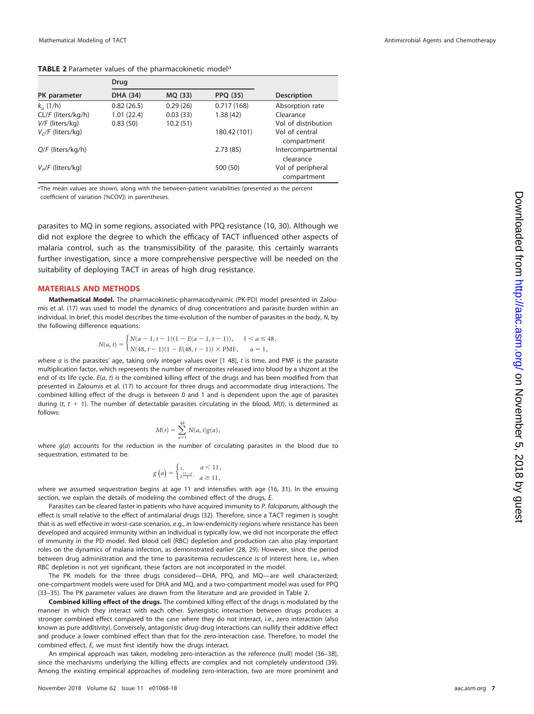#### <span id="page-6-0"></span>**TABLE 2** Parameter values of the pharmacokinetic model<sup>a</sup>

|                     | Drug       |          |                 |                     |
|---------------------|------------|----------|-----------------|---------------------|
| PK parameter        | DHA (34)   | MQ (33)  | <b>PPQ (35)</b> | <b>Description</b>  |
| $k_a$ (1/h)         | 0.82(26.5) | 0.29(26) | 0.717(168)      | Absorption rate     |
| CL/F (liters/kg/h)  | 1.01(22.4) | 0.03(33) | 1.38(42)        | Clearance           |
| $V/F$ (liters/kg)   | 0.83(50)   | 10.2(51) |                 | Vol of distribution |
| $V_c/F$ (liters/kg) |            |          | 180.42 (101)    | Vol of central      |
|                     |            |          |                 | compartment         |
| $Q/F$ (liters/kg/h) |            |          | 2.73(85)        | Intercompartmental  |
|                     |            |          |                 | clearance           |
| $V_p/F$ (liters/kg) |            |          | 500 (50)        | Vol of peripheral   |
|                     |            |          |                 | compartment         |

aThe mean values are shown, along with the between-patient variabilities (presented as the percent coefficient of variation [%COV]) in parentheses.

parasites to MQ in some regions, associated with PPQ resistance [\(10,](#page-9-9) [30\)](#page-10-12). Although we did not explore the degree to which the efficacy of TACT influenced other aspects of malaria control, such as the transmissibility of the parasite, this certainly warrants further investigation, since a more comprehensive perspective will be needed on the suitability of deploying TACT in areas of high drug resistance.

### **MATERIALS AND METHODS**

**Mathematical Model.** The pharmacokinetic-pharmacodynamic (PK-PD) model presented in Zaloumis et al. [\(17\)](#page-10-0) was used to model the dynamics of drug concentrations and parasite burden within an individual. In brief, this model describes the time-evolution of the number of parasites in the body, N, by the following difference equations:

$$
N(a,t) = \begin{cases} N(a-1, t-1)(1 - E(a-1, t-1)), & 1 < a \le 48, \\ N(48, t-1)(1 - E(48, t-1)) \times PMF, & a = 1, \end{cases}
$$

where  $a$  is the parasites' age, taking only integer values over [1 48],  $t$  is time, and PMF is the parasite multiplication factor, which represents the number of merozoites released into blood by a shizont at the end of its life cycle.  $E(a, t)$  is the combined killing effect of the drugs and has been modified from that presented in Zaloumis et al. [\(17\)](#page-10-0) to account for three drugs and accommodate drug interactions. The combined killing effect of the drugs is between 0 and 1 and is dependent upon the age of parasites during (t,  $t + 1$ ). The number of detectable parasites circulating in the blood,  $M(t)$ , is determined as follows:

$$
M(t) = \sum_{a=1}^{48} N(a, t)g(a),
$$

where  $g(a)$  accounts for the reduction in the number of circulating parasites in the blood due to sequestration, estimated to be:

$$
g\left(a\right) = \begin{cases} 1, & a < 11, \\ \frac{2}{3}, & a \ge 11, \end{cases}
$$

where we assumed sequestration begins at age 11 and intensifies with age [\(16,](#page-9-14) [31\)](#page-10-13). In the ensuing section, we explain the details of modeling the combined effect of the drugs, E.

Parasites can be cleared faster in patients who have acquired immunity to P. falciparum, although the effect is small relative to the effect of antimalarial drugs [\(32\)](#page-10-14). Therefore, since a TACT regimen is sought that is as well effective in worst-case scenarios, e.g., in low-endemicity regions where resistance has been developed and acquired immunity within an individual is typically low, we did not incorporate the effect of immunity in the PD model. Red blood cell (RBC) depletion and production can also play important roles on the dynamics of malaria infection, as demonstrated earlier [\(28,](#page-10-10) [29\)](#page-10-11). However, since the period between drug administration and the time to parasitemia recrudescence is of interest here, i.e., when RBC depletion is not yet significant, these factors are not incorporated in the model.

The PK models for the three drugs considered—DHA, PPQ, and MQ—are well characterized; one-compartment models were used for DHA and MQ, and a two-compartment model was used for PPQ [\(33](#page-10-15)[–](#page-10-16)[35\)](#page-10-17). The PK parameter values are drawn from the literature and are provided in [Table 2.](#page-6-0)

**Combined killing effect of the drugs.** The combined killing effect of the drugs is modulated by the manner in which they interact with each other. Synergistic interaction between drugs produces a stronger combined effect compared to the case where they do not interact, i.e., zero interaction (also known as pure additivity). Conversely, antagonistic drug-drug interactions can nullify their additive effect and produce a lower combined effect than that for the zero-interaction case. Therefore, to model the combined effect, E, we must first identify how the drugs interact.

An empirical approach was taken, modeling zero-interaction as the reference (null) model [\(36](#page-10-18)[–](#page-10-19)[38\)](#page-10-20), since the mechanisms underlying the killing effects are complex and not completely understood [\(39\)](#page-10-21). Among the existing empirical approaches of modeling zero-interaction, two are more prominent and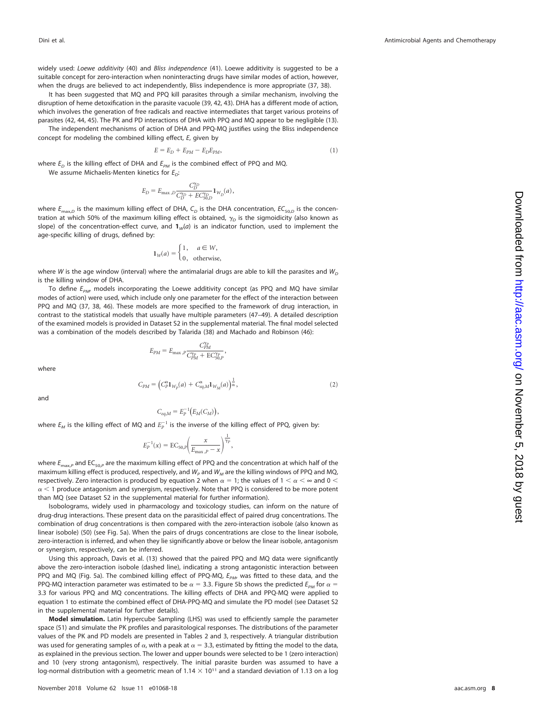widely used: Loewe additivity [\(40\)](#page-10-22) and Bliss independence [\(41\)](#page-10-23). Loewe additivity is suggested to be a suitable concept for zero-interaction when noninteracting drugs have similar modes of action, however, when the drugs are believed to act independently, Bliss independence is more appropriate [\(37,](#page-10-19) [38\)](#page-10-20).

It has been suggested that MQ and PPQ kill parasites through a similar mechanism, involving the disruption of heme detoxification in the parasite vacuole [\(39,](#page-10-21) [42,](#page-10-24) [43\)](#page-10-25). DHA has a different mode of action, which involves the generation of free radicals and reactive intermediates that target various proteins of parasites [\(42,](#page-10-24) [44,](#page-10-26) [45\)](#page-10-27). The PK and PD interactions of DHA with PPQ and MQ appear to be negligible [\(13\)](#page-9-12).

The independent mechanisms of action of DHA and PPQ-MQ justifies using the Bliss independence concept for modeling the combined killing effect, E, given by

$$
E = E_D + E_{PM} - E_D E_{PM},\tag{1}
$$

where  $E_D$  is the killing effect of DHA and  $E_{PM}$  is the combined effect of PPQ and MQ. We assume Michaelis-Menten kinetics for  $E_{\Omega}$ :

$$
E_D = E_{\rm max, D} \frac{C_D^{\gamma_D}}{C_D^{\gamma_D} + EC_{50,D}^{\gamma_D}} \mathbf{1}_{W_D}(a) \,, \label{eq:ED}
$$

where  $E_{\text{max},D}$  is the maximum killing effect of DHA, C<sub>D</sub> is the DHA concentration,  $EC_{50,D}$  is the concentration at which 50% of the maximum killing effect is obtained,  $\gamma_{\scriptscriptstyle D}$  is the sigmoidicity (also known as slope) of the concentration-effect curve, and  $\mathbf{1}_W(a)$  is an indicator function, used to implement the age-specific killing of drugs, defined by:

$$
1_W(a) = \begin{cases} 1, & a \in W, \\ 0, & \text{otherwise,} \end{cases}
$$

where W is the age window (interval) where the antimalarial drugs are able to kill the parasites and  $W_{\text{D}}$ is the killing window of DHA.

To define  $E_{PM}$ , models incorporating the Loewe additivity concept (as PPQ and MQ have similar modes of action) were used, which include only one parameter for the effect of the interaction between PPQ and MQ [\(37,](#page-10-19) [38,](#page-10-20) [46\)](#page-10-28). These models are more specified to the framework of drug interaction, in contrast to the statistical models that usually have multiple parameters [\(47](#page-10-29)[–](#page-10-30)[49\)](#page-10-31). A detailed description of the examined models is provided in Dataset S2 in the supplemental material. The final model selected was a combination of the models described by Talarida [\(38\)](#page-10-20) and Machado and Robinson [\(46\)](#page-10-28):

 $\frac{P_{PM}}{C_{PM}^{\gamma_P} + \text{EC}_{50,P}^{\gamma_P}}$ ,

 $E_{PM} = E_{\text{max},P} \frac{C_{PM}^{\gamma_P}}{C^{\gamma_P} + E}$ 

where

$$
C_{PM} = \left(C_P^{\alpha} \mathbf{1}_{W_P}(a) + C_{eq,M}^{\alpha} \mathbf{1}_{W_M}(a)\right)^{\frac{1}{\alpha}},\tag{2}
$$

and

$$
C_{eq,M} = E_P^{-1}\big(E_M(C_M)\big),
$$

where  $E_M$  is the killing effect of MQ and  $E_P^{-1}$  is the inverse of the killing effect of PPQ, given by:

$$
E_P^{-1}(x) = \text{EC}_{50,P}\left(\frac{x}{E_{\text{max},P} - x}\right)^{\frac{1}{\gamma_P}},
$$

where  $E_{\text{max},P}$  and EC<sub>50,P</sub> are the maximum killing effect of PPQ and the concentration at which half of the maximum killing effect is produced, respectively, and  $W_p$  and  $W_M$  are the killing windows of PPQ and MQ, respectively. Zero interaction is produced by equation 2 when  $\alpha=1$ ; the values of 1  $<\alpha<\infty$  and 0  $<$  $\alpha$  < 1 produce antagonism and synergism, respectively. Note that PPQ is considered to be more potent than MQ (see Dataset S2 in the supplemental material for further information).

Isobolograms, widely used in pharmacology and toxicology studies, can inform on the nature of drug-drug interactions. These present data on the parasiticidal effect of paired drug concentrations. The combination of drug concentrations is then compared with the zero-interaction isobole (also known as linear isobole) [\(50\)](#page-10-32) (see [Fig. 5a\)](#page-8-0). When the pairs of drugs concentrations are close to the linear isobole, zero-interaction is inferred, and when they lie significantly above or below the linear isobole, antagonism or synergism, respectively, can be inferred.

Using this approach, Davis et al. [\(13\)](#page-9-12) showed that the paired PPQ and MQ data were significantly above the zero-interaction isobole (dashed line), indicating a strong antagonistic interaction between PPQ and MQ [\(Fig. 5a\)](#page-8-0). The combined killing effect of PPQ-MQ,  $E_{PM}$ , was fitted to these data, and the PPQ-MQ interaction parameter was estimated to be  $\alpha =$  3.3. [Figure 5b](#page-8-0) shows the predicted  $E_{\rho M}$  for  $\alpha =$ 3.3 for various PPQ and MQ concentrations. The killing effects of DHA and PPQ-MQ were applied to equation 1 to estimate the combined effect of DHA-PPQ-MQ and simulate the PD model (see Dataset S2 in the supplemental material for further details).

**Model simulation.** Latin Hypercube Sampling (LHS) was used to efficiently sample the parameter space [\(51\)](#page-10-33) and simulate the PK profiles and parasitological responses. The distributions of the parameter values of the PK and PD models are presented in [Tables 2](#page-6-0) and [3,](#page-8-1) respectively. A triangular distribution was used for generating samples of  $\alpha$ , with a peak at  $\alpha = 3.3$ , estimated by fitting the model to the data, as explained in the previous section. The lower and upper bounds were selected to be 1 (zero interaction) and 10 (very strong antagonism), respectively. The initial parasite burden was assumed to have a log-normal distribution with a geometric mean of  $1.14 \times 10^{11}$  and a standard deviation of 1.13 on a log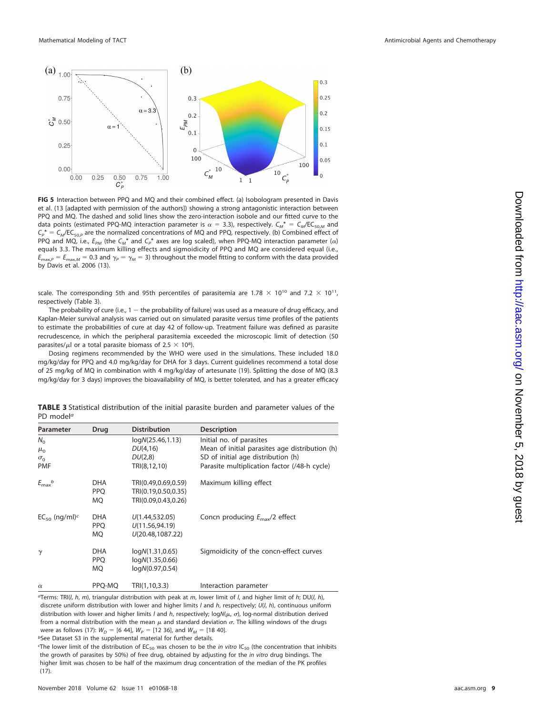

<span id="page-8-0"></span>**FIG 5** Interaction between PPQ and MQ and their combined effect. (a) Isobologram presented in Davis et al. [\(13](#page-9-12) [adapted with permission of the authors]) showing a strong antagonistic interaction between PPQ and MQ. The dashed and solid lines show the zero-interaction isobole and our fitted curve to the data points (estimated PPQ-MQ interaction parameter is  $\alpha = 3.3$ ), respectively.  $C_M^* = C_M$ /EC<sub>50,M</sub> and  $C_p^* = C_M/EC_{50,P}$  are the normalized concentrations of MQ and PPQ, respectively. (b) Combined effect of PPQ and MQ, i.e.,  $E_{PM}$  (the  $C_M^*$  and  $C_P^*$  axes are log scaled), when PPQ-MQ interaction parameter ( $\alpha$ ) equals 3.3. The maximum killing effects and sigmoidicity of PPQ and MQ are considered equal (i.e.,  $E_{\max,P}=E_{\max,M}=0.3$  and  $\gamma_{P}=\gamma_{M}=3)$  throughout the model fitting to conform with the data provided by Davis et al. 2006 [\(13\)](#page-9-12).

scale. The corresponding 5th and 95th percentiles of parasitemia are 1.78  $\times$  10<sup>10</sup> and 7.2  $\times$  10<sup>11</sup>, respectively [\(Table 3\)](#page-8-1).

The probability of cure (i.e.,  $1 -$  the probability of failure) was used as a measure of drug efficacy, and Kaplan-Meier survival analysis was carried out on simulated parasite versus time profiles of the patients to estimate the probabilities of cure at day 42 of follow-up. Treatment failure was defined as parasite recrudescence, in which the peripheral parasitemia exceeded the microscopic limit of detection (50 parasites/ $\mu$ l or a total parasite biomass of 2.5  $\times$  10<sup>8</sup>).

Dosing regimens recommended by the WHO were used in the simulations. These included 18.0 mg/kg/day for PPQ and 4.0 mg/kg/day for DHA for 3 days. Current guidelines recommend a total dose of 25 mg/kg of MQ in combination with 4 mg/kg/day of artesunate [\(19\)](#page-10-2). Splitting the dose of MQ (8.3 mg/kg/day for 3 days) improves the bioavailability of MQ, is better tolerated, and has a greater efficacy

<span id="page-8-1"></span>

| TABLE 3 Statistical distribution of the initial parasite burden and parameter values of the |  |  |  |  |  |
|---------------------------------------------------------------------------------------------|--|--|--|--|--|
| PD model <sup>a</sup>                                                                       |  |  |  |  |  |

| Parameter                                             | Drug                                  | <b>Distribution</b>                                               | <b>Description</b>                                                                                                                                               |
|-------------------------------------------------------|---------------------------------------|-------------------------------------------------------------------|------------------------------------------------------------------------------------------------------------------------------------------------------------------|
| $N_{\Omega}$<br>$\mu_{0}$<br>$\sigma_0$<br><b>PMF</b> |                                       | logN(25.46, 1.13)<br>DU(4,16)<br>DU(2,8)<br>TRI(8,12,10)          | Initial no. of parasites<br>Mean of initial parasites age distribution (h)<br>SD of initial age distribution (h)<br>Parasite multiplication factor (/48-h cycle) |
| $E_{\text{max}}^b$                                    | <b>DHA</b><br><b>PPO</b><br><b>MQ</b> | TRI(0.49,0.69,0.59)<br>TRI(0.19,0.50,0.35)<br>TRI(0.09,0.43,0.26) | Maximum killing effect                                                                                                                                           |
| $EC_{50}$ (ng/ml) <sup>c</sup>                        | <b>DHA</b><br><b>PPO</b><br><b>MQ</b> | U(1.44, 532.05)<br>U(11.56.94.19)<br>U(20.48,1087.22)             | Concn producing $E_{\text{max}}/2$ effect                                                                                                                        |
| $\gamma$                                              | <b>DHA</b><br><b>PPO</b><br><b>MQ</b> | logN(1.31, 0.65)<br>logN(1.35, 0.66)<br>logN(0.97, 0.54)          | Sigmoidicity of the concn-effect curves                                                                                                                          |
| $\alpha$                                              | PPO-MO                                | TRI(1,10,3.3)                                                     | Interaction parameter                                                                                                                                            |

<sup>*aTerms: TRI(l, h, m), triangular distribution with peak at m, lower limit of l, and higher limit of h; DU(l, h),*</sup> discrete uniform distribution with lower and higher limits  $I$  and  $h$ , respectively;  $U(I, h)$ , continuous uniform distribution with lower and higher limits I and h, respectively;  $logN(\mu, \sigma)$ , log-normal distribution derived from a normal distribution with the mean  $\mu$  and standard deviation  $\sigma$ . The killing windows of the drugs were as follows [\(17\)](#page-10-0):  $W_D =$  [6 44],  $W_P =$  [12 36], and  $W_M =$  [18 40]. bSee Dataset S3 in the supplemental material for further details.

The lower limit of the distribution of EC<sub>50</sub> was chosen to be the *in vitro* IC<sub>50</sub> (the concentration that inhibits

the growth of parasites by 50%) of free drug, obtained by adjusting for the in vitro drug bindings. The higher limit was chosen to be half of the maximum drug concentration of the median of the PK profiles [\(17\)](#page-10-0).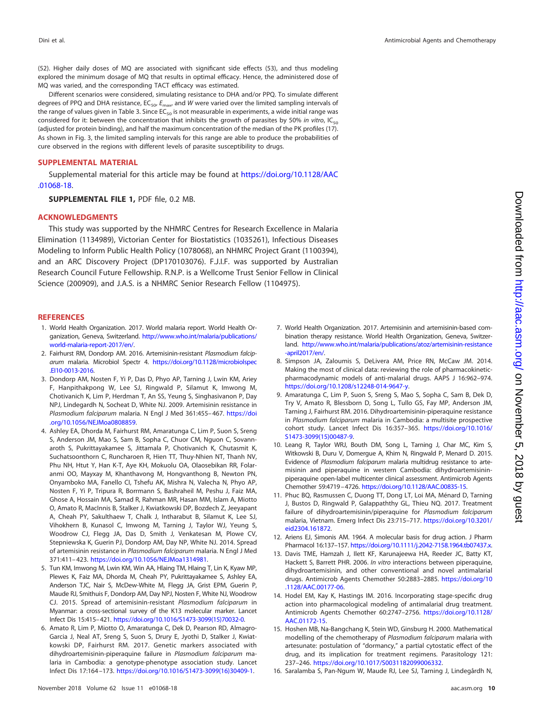[\(52\)](#page-10-34). Higher daily doses of MQ are associated with significant side effects [\(53\)](#page-10-35), and thus modeling explored the minimum dosage of MQ that results in optimal efficacy. Hence, the administered dose of MQ was varied, and the corresponding TACT efficacy was estimated.

Different scenarios were considered, simulating resistance to DHA and/or PPQ. To simulate different degrees of PPQ and DHA resistance,  $EC_{50'} E_{\text{max}}$  and W were varied over the limited sampling intervals of the range of values given in [Table 3.](#page-8-1) Since  $EC_{50}$  is not measurable in experiments, a wide initial range was considered for it: between the concentration that inhibits the growth of parasites by 50% in vitro,  $IC_{50}$ (adjusted for protein binding), and half the maximum concentration of the median of the PK profiles [\(17\)](#page-10-0). As shown in [Fig. 3,](#page-3-1) the limited sampling intervals for this range are able to produce the probabilities of cure observed in the regions with different levels of parasite susceptibility to drugs.

### **SUPPLEMENTAL MATERIAL**

Supplemental material for this article may be found at [https://doi.org/10.1128/AAC](https://doi.org/10.1128/AAC.01068-18) [.01068-18.](https://doi.org/10.1128/AAC.01068-18)

**SUPPLEMENTAL FILE 1,** PDF file, 0.2 MB.

#### **ACKNOWLEDGMENTS**

This study was supported by the NHMRC Centres for Research Excellence in Malaria Elimination (1134989), Victorian Center for Biostatistics (1035261), Infectious Diseases Modeling to Inform Public Health Policy (1078068), an NHMRC Project Grant (1100394), and an ARC Discovery Project (DP170103076). F.J.I.F. was supported by Australian Research Council Future Fellowship. R.N.P. is a Wellcome Trust Senior Fellow in Clinical Science (200909), and J.A.S. is a NHMRC Senior Research Fellow (1104975).

# <span id="page-9-0"></span>**REFERENCES**

- 1. World Health Organization. 2017. World malaria report. World Health Organization, Geneva, Switzerland. [http://www.who.int/malaria/publications/](http://www.who.int/malaria/publications/world-malaria-report-2017/en/) [world-malaria-report-2017/en/.](http://www.who.int/malaria/publications/world-malaria-report-2017/en/)
- <span id="page-9-1"></span>2. Fairhurst RM, Dondorp AM. 2016. Artemisinin-resistant Plasmodium falciparum malaria. Microbiol Spectr 4. [https://doi.org/10.1128/microbiolspec](https://doi.org/10.1128/microbiolspec.EI10-0013-2016) [.EI10-0013-2016.](https://doi.org/10.1128/microbiolspec.EI10-0013-2016)
- <span id="page-9-2"></span>3. Dondorp AM, Nosten F, Yi P, Das D, Phyo AP, Tarning J, Lwin KM, Ariey F, Hanpithakpong W, Lee SJ, Ringwald P, Silamut K, Imwong M, Chotivanich K, Lim P, Herdman T, An SS, Yeung S, Singhasivanon P, Day NPJ, Lindegardh N, Socheat D, White NJ. 2009. Artemisinin resistance in Plasmodium falciparum malaria. N Engl J Med 361:455– 467. [https://doi](https://doi.org/10.1056/NEJMoa0808859) [.org/10.1056/NEJMoa0808859.](https://doi.org/10.1056/NEJMoa0808859)
- <span id="page-9-3"></span>4. Ashley EA, Dhorda M, Fairhurst RM, Amaratunga C, Lim P, Suon S, Sreng S, Anderson JM, Mao S, Sam B, Sopha C, Chuor CM, Nguon C, Sovannaroth S, Pukrittayakamee S, Jittamala P, Chotivanich K, Chutasmit K, Suchatsoonthorn C, Runcharoen R, Hien TT, Thuy-Nhien NT, Thanh NV, Phu NH, Htut Y, Han K-T, Aye KH, Mokuolu OA, Olaosebikan RR, Folaranmi OO, Mayxay M, Khanthavong M, Hongvanthong B, Newton PN, Onyamboko MA, Fanello CI, Tshefu AK, Mishra N, Valecha N, Phyo AP, Nosten F, Yi P, Tripura R, Borrmann S, Bashraheil M, Peshu J, Faiz MA, Ghose A, Hossain MA, Samad R, Rahman MR, Hasan MM, Islam A, Miotto O, Amato R, MacInnis B, Stalker J, Kwiatkowski DP, Bozdech Z, Jeeyapant A, Cheah PY, Sakulthaew T, Chalk J, Intharabut B, Silamut K, Lee SJ, Vihokhern B, Kunasol C, Imwong M, Tarning J, Taylor WJ, Yeung S, Woodrow CJ, Flegg JA, Das D, Smith J, Venkatesan M, Plowe CV, Stepniewska K, Guerin PJ, Dondorp AM, Day NP, White NJ. 2014. Spread of artemisinin resistance in Plasmodium falciparum malaria. N Engl J Med 371:411– 423. [https://doi.org/10.1056/NEJMoa1314981.](https://doi.org/10.1056/NEJMoa1314981)
- <span id="page-9-4"></span>5. Tun KM, Imwong M, Lwin KM, Win AA, Hlaing TM, Hlaing T, Lin K, Kyaw MP, Plewes K, Faiz MA, Dhorda M, Cheah PY, Pukrittayakamee S, Ashley EA, Anderson TJC, Nair S, McDew-White M, Flegg JA, Grist EPM, Guerin P, Maude RJ, Smithuis F, Dondorp AM, Day NPJ, Nosten F, White NJ, Woodrow CJ. 2015. Spread of artemisinin-resistant Plasmodium falciparum in Myanmar: a cross-sectional survey of the K13 molecular marker. Lancet Infect Dis 15:415–421. [https://doi.org/10.1016/S1473-3099\(15\)70032-0.](https://doi.org/10.1016/S1473-3099(15)70032-0)
- <span id="page-9-5"></span>6. Amato R, Lim P, Miotto O, Amaratunga C, Dek D, Pearson RD, Almagro-Garcia J, Neal AT, Sreng S, Suon S, Drury E, Jyothi D, Stalker J, Kwiatkowski DP, Fairhurst RM. 2017. Genetic markers associated with dihydroartemisinin-piperaquine failure in Plasmodium falciparum malaria in Cambodia: a genotype-phenotype association study. Lancet Infect Dis 17:164 –173. [https://doi.org/10.1016/S1473-3099\(16\)30409-1.](https://doi.org/10.1016/S1473-3099(16)30409-1)
- <span id="page-9-6"></span>7. World Health Organization. 2017. Artemisinin and artemisinin-based combination therapy resistance. World Health Organization, Geneva, Switzerland. [http://www.who.int/malaria/publications/atoz/artemisinin-resistance](http://www.who.int/malaria/publications/atoz/artemisinin-resistance-april2017/en/) [-april2017/en/.](http://www.who.int/malaria/publications/atoz/artemisinin-resistance-april2017/en/)
- <span id="page-9-7"></span>8. Simpson JA, Zaloumis S, DeLivera AM, Price RN, McCaw JM. 2014. Making the most of clinical data: reviewing the role of pharmacokineticpharmacodynamic models of anti-malarial drugs. AAPS J 16:962–974. [https://doi.org/10.1208/s12248-014-9647-y.](https://doi.org/10.1208/s12248-014-9647-y)
- <span id="page-9-8"></span>9. Amaratunga C, Lim P, Suon S, Sreng S, Mao S, Sopha C, Sam B, Dek D, Try V, Amato R, Blessborn D, Song L, Tullo GS, Fay MP, Anderson JM, Tarning J, Fairhurst RM. 2016. Dihydroartemisinin-piperaquine resistance in Plasmodium falciparum malaria in Cambodia: a multisite prospective cohort study. Lancet Infect Dis 16:357–365. [https://doi.org/10.1016/](https://doi.org/10.1016/S1473-3099(15)00487-9) [S1473-3099\(15\)00487-9.](https://doi.org/10.1016/S1473-3099(15)00487-9)
- <span id="page-9-9"></span>10. Leang R, Taylor WRJ, Bouth DM, Song L, Tarning J, Char MC, Kim S, Witkowski B, Duru V, Domergue A, Khim N, Ringwald P, Menard D. 2015. Evidence of Plasmodium falciparum malaria multidrug resistance to artemisinin and piperaquine in western Cambodia: dihydroartemisininpiperaquine open-label multicenter clinical assessment. Antimicrob Agents Chemother 59:4719 –4726. [https://doi.org/10.1128/AAC.00835-15.](https://doi.org/10.1128/AAC.00835-15)
- <span id="page-9-10"></span>11. Phuc BQ, Rasmussen C, Duong TT, Dong LT, Loi MA, Ménard D, Tarning J, Bustos D, Ringwald P, Galappaththy GL, Thieu NQ. 2017. Treatment failure of dihydroartemisinin/piperaquine for Plasmodium falciparum malaria, Vietnam. Emerg Infect Dis 23:715–717. [https://doi.org/10.3201/](https://doi.org/10.3201/eid2304.161872) [eid2304.161872.](https://doi.org/10.3201/eid2304.161872)
- <span id="page-9-12"></span><span id="page-9-11"></span>12. Ariens EJ, Simonis AM. 1964. A molecular basis for drug action. J Pharm Pharmacol 16:137–157. [https://doi.org/10.1111/j.2042-7158.1964.tb07437.x.](https://doi.org/10.1111/j.2042-7158.1964.tb07437.x)
- 13. Davis TME, Hamzah J, Ilett KF, Karunajeewa HA, Reeder JC, Batty KT, Hackett S, Barrett PHR. 2006. In vitro interactions between piperaquine, dihydroartemisinin, and other conventional and novel antimalarial drugs. Antimicrob Agents Chemother 50:2883–2885. [https://doi.org/10](https://doi.org/10.1128/AAC.00177-06) [.1128/AAC.00177-06.](https://doi.org/10.1128/AAC.00177-06)
- <span id="page-9-13"></span>14. Hodel EM, Kay K, Hastings IM. 2016. Incorporating stage-specific drug action into pharmacological modeling of antimalarial drug treatment. Antimicrob Agents Chemother 60:2747–2756. [https://doi.org/10.1128/](https://doi.org/10.1128/AAC.01172-15) [AAC.01172-15.](https://doi.org/10.1128/AAC.01172-15)
- 15. Hoshen MB, Na-Bangchang K, Stein WD, Ginsburg H. 2000. Mathematical modelling of the chemotherapy of Plasmodium falciparum malaria with artesunate: postulation of "dormancy," a partial cytostatic effect of the drug, and its implication for treatment regimens. Parasitology 121: 237–246. [https://doi.org/10.1017/S0031182099006332.](https://doi.org/10.1017/S0031182099006332)
- <span id="page-9-14"></span>16. Saralamba S, Pan-Ngum W, Maude RJ, Lee SJ, Tarning J, Lindegårdh N,